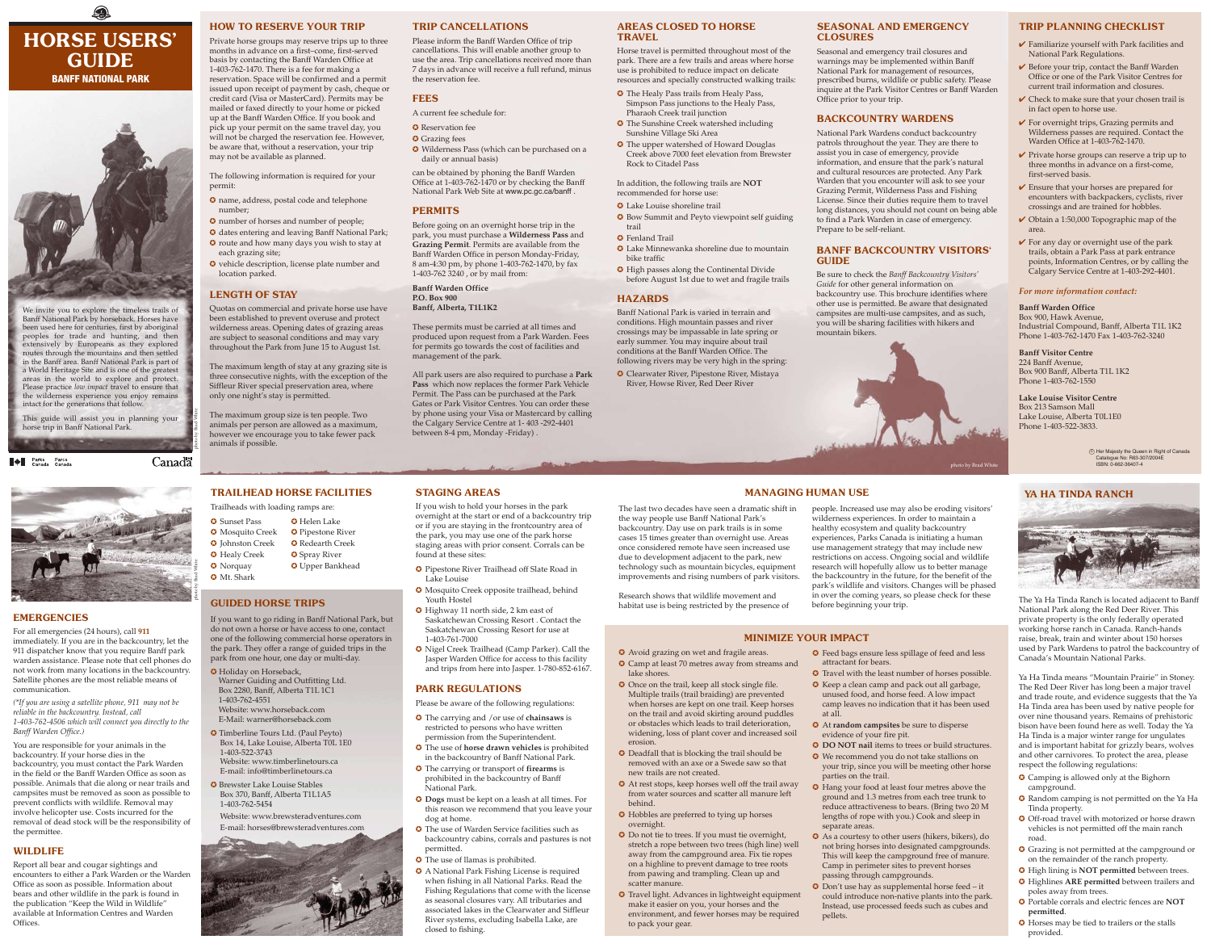# 0 HORSE USERS' GUIDE BANFF NATIONAL PARK



We invite you to explore the timeless trails of Banff National Park by horseback. Horses have been used here for centuries, first by aboriginal peoples for trade and hunting, and then extensively by Europeans as they explored routes through the mountains and then settled in the Banff area. Banff National Park is part of a World Heritage Site and is one of the greatest areas in the world to explore and protect. Please practice *low impact* travel to ensure that the wilderness experience you enjoy remains intact for the generations that follow.

This guide will assist you in planning your horse trip in Banff National Park.

**A** Parks Parcs

**Canadä** 

# AREAS CLOSED TO HORSE TRAVEL

Horse travel is permitted throughout most of the park. There are a few trails and areas where horse use is prohibited to reduce impact on delicate resources and specially constructed walking trails:

- 
- Pharaoh Creek trail junction ✪ The Sunshine Creek watershed including Sunshine Village Ski Area
- 

- ✪ The Healy Pass trails from Healy Pass, Simpson Pass junctions to the Healy Pass,
- ✪ The upper watershed of Howard Douglas Creek above 7000 feet elevation from Brewster Rock to Citadel Pass
- In addition, the following trails are **NOT** recommended for horse use:
- ✪ Lake Louise shoreline trail
- ✪ Bow Summit and Peyto viewpoint self guiding

### ✪ Fenland Trail

- 
- trail
- bike traffic
- 

# **HAZARDS**

- ✪ Lake Minnewanka shoreline due to mountain
- ✪ High passes along the Continental Divide before August 1st due to wet and fragile trails

Banff National Park is varied in terrain and conditions. High mountain passes and river crossings may be impassable in late spring or early summer. You may inquire about trail conditions at the Banff Warden Office. The following rivers may be very high in the spring: ✪ Clearwater River, Pipestone River, Mistaya

River, Howse River, Red Deer River

## SEASONAL AND EMERGENCY CLOSURES

Seasonal and emergency trail closures and warnings may be implemented within Banff National Park for management of resources, prescribed burns, wildlife or public safety. Please inquire at the Park Visitor Centres or Banff Warden Office prior to your trip.

## BACKCOUNTRY WARDENS

National Park Wardens conduct backcountry patrols throughout the year. They are there to assist you in case of emergency, provide information, and ensure that the park's natural and cultural resources are protected. Any Park Warden that you encounter will ask to see your Grazing Permit, Wilderness Pass and Fishing License. Since their duties require them to travel long distances, you should not count on being able to find a Park Warden in case of emergency. Prepare to be self-reliant.

- $\bullet$  Reservation fee
- **O** Grazing fees
- ✪ Wilderness Pass (which can be purchased on a daily or annual basis)

### BANFF BACKCOUNTRY VISITORS' GUIDE

Be sure to check the *Banff Backcountry Visitors' Guide* for other general information on backcountry use. This brochure identifies where other use is permitted. Be aware that designated campsites are multi-use campsites, and as such, you will be sharing facilities with hikers and mountain bikers.



photo by Brad Whit

# HOW TO RESERVE YOUR TRIP

Private horse groups may reserve trips up to three months in advance on a first–come, first-served basis by contacting the Banff Warden Office at 1-403-762-1470. There is a fee for making a reservation. Space will be confirmed and a permit issued upon receipt of payment by cash, cheque or credit card (Visa or MasterCard). Permits may be mailed or faxed directly to your home or picked up at the Banff Warden Office. If you book and pick up your permit on the same travel day, you will not be charged the reservation fee. However, be aware that, without a reservation, your trip may not be available as planned.

- 
- ✪ Mosquito Creek ✪ Pipestone River
- ✪ Johnston Creek ✪ Redearth Creek **☉** Healy Creek **☉** Spray River
- **•** Norquay **•• ••** Upper Bankhead
	-

The following information is required for your permit:

- ✪ name, address, postal code and telephone number;
- ✪ number of horses and number of people;
- ✪ dates entering and leaving Banff National Park; ✪ route and how many days you wish to stay at
- each grazing site;
- ✪ vehicle description, license plate number and location parked.

# LENGTH OF STAY

Quotas on commercial and private horse use have been established to prevent overuse and protect wilderness areas. Opening dates of grazing areas are subject to seasonal conditions and may vary throughout the Park from June 15 to August 1st.

The maximum length of stay at any grazing site is three consecutive nights, with the exception of the Siffleur River special preservation area, where only one night's stay is permitted.

The maximum group size is ten people. Two animals per person are allowed as a maximum, however we encourage you to take fewer pack animals if possible.

# TRIP CANCELLATIONS

Please inform the Banff Warden Office of trip cancellations. This will enable another group to use the area. Trip cancellations received more than 7 days in advance will receive a full refund, minus the reservation fee.

# FEES

A current fee schedule for:

can be obtained by phoning the Banff Warden Office at 1-403-762-1470 or by checking the Banff National Park Web Site at www.pc.gc.ca/banff .

# PERMITS

Before going on an overnight horse trip in the park, you must purchase a **Wilderness Pass** and **Grazing Permit**. Permits are available from the Banff Warden Office in person Monday-Friday, 8 am-4:30 pm, by phone 1-403-762-1470, by fax 1-403-762 3240 , or by mail from:

**Banff Warden Office P.O. Box 900 Banff, Alberta, T1L1K2**

These permits must be carried at all times and produced upon request from a Park Warden. Fees for permits go towards the cost of facilities and management of the park.

All park users are also required to purchase a **Park Pass** which now replaces the former Park Vehicle Permit. The Pass can be purchased at the Park Gates or Park Visitor Centres. You can order these by phone using your Visa or Mastercard by calling the Calgary Service Centre at 1- 403 -292-4401 between 8-4 pm, Monday -Friday) .

# EMERGENCIES

For all emergencies (24 hours), call **911** immediately. If you are in the backcountry, let the 911 dispatcher know that you require Banff park warden assistance. Please note that cell phones do not work from many locations in the backcountry. Satellite phones are the most reliable means of communication.

*(\*If you are using a satellite phone, 911 may not be reliable in the backcountry. Instead, call 1-403-762-4506 which will connect you directly to the Banff Warden Office.)*

You are responsible for your animals in the backcountry. If your horse dies in the backcountry, you must contact the Park Warden in the field or the Banff Warden Office as soon as possible. Animals that die along or near trails and campsites must be removed as soon as possible to prevent conflicts with wildlife. Removal may involve helicopter use. Costs incurred for the removal of dead stock will be the responsibility of the permittee.

# WILDLIFE

Report all bear and cougar sightings and encounters to either a Park Warden or the Warden Office as soon as possible. Information about bears and other wildlife in the park is found in the publication "Keep the Wild in Wildlife" available at Information Centres and Warden Offices.

# TRAILHEAD HORSE FACILITIES

Trailheads with loading ramps are:

**☉** Sunset Pass **◯** Helen Lake

✪ Mt. Shark

# GUIDED HORSE TRIPS

If you want to go riding in Banff National Park, but do not own a horse or have access to one, contact one of the following commercial horse operators in the park. They offer a range of guided trips in the park from one hour, one day or multi-day.

- $\checkmark$  Familiarize yourself with Park facilities and National Park Regulations.
- $\vee$  Before your trip, contact the Banff Warden Office or one of the Park Visitor Centres for current trail information and closures.
- $\vee$  Check to make sure that your chosen trail is in fact open to horse use.
- $\checkmark$  For overnight trips, Grazing permits and Wilderness passes are required. Contact the Warden Office at 1-403-762-1470.
- $\vee$  Private horse groups can reserve a trip up to three months in advance on a first-come, first-served basis.
- $\vee$  Ensure that your horses are prepared for encounters with backpackers, cyclists, river crossings and are trained for hobbles.
- ✔ Obtain a 1:50,000 Topographic map of the area.
- $\checkmark$  For any day or overnight use of the park trails, obtain a Park Pass at park entrance points, Information Centres, or by calling the Calgary Service Centre at 1-403-292-4401.

 $\odot$  Her Majesty the Queen in Right of Canada Catalogue No: R63-307/2004E ISBN: 0-662-36407-4

## YA HA TINDA RANCH



- ✪ Holiday on Horseback, Warner Guiding and Outfitting Ltd. Box 2280, Banff, Alberta T1L 1C1 1-403-762-4551
- Website: www.horseback.com
- E-Mail: warner@horseback.com ✪ Timberline Tours Ltd. (Paul Peyto) Box 14, Lake Louise, Alberta T0L 1E0 1-403-522-3743
- Website: www.timberlinetours.ca E-mail: info@timberlinetours.ca
- ✪ Brewster Lake Louise Stables Box 370, Banff, Alberta T1L1A5 1-403-762-5454

 Website: www.brewsteradventures.com E-mail: horses@brewsteradventures.com



# STAGING AREAS

If you wish to hold your horses in the park overnight at the start or end of a backcountry trip or if you are staying in the frontcountry area of the park, you may use one of the park horse staging areas with prior consent. Corrals can be found at these sites:

- ✪ Pipestone River Trailhead off Slate Road in Lake Louise
- ✪ Mosquito Creek opposite trailhead, behind Youth Hostel
- ✪ Highway 11 north side, 2 km east of Saskatchewan Crossing Resort . Contact the Saskatchewan Crossing Resort for use at 1-403-761-7000
- ✪ Nigel Creek Trailhead (Camp Parker). Call the Jasper Warden Office for access to this facility and trips from here into Jasper. 1-780-852-6167.

# PARK REGULATIONS

Please be aware of the following regulations:

- ✪ The carrying and /or use of **chainsaws** is restricted to persons who have written permission from the Superintendent.
- ✪ The use of **horse drawn vehicles** is prohibited in the backcountry of Banff National Park.
- ✪ The carrying or transport of **firearms** is prohibited in the backcountry of Banff National Park.
- ✪ **Dogs** must be kept on a leash at all times. For this reason we recommend that you leave your dog at home.
- ✪ The use of Warden Service facilities such as backcountry cabins, corrals and pastures is not permitted.
- ✪ The use of llamas is prohibited.
- ✪ A National Park Fishing License is required when fishing in all National Parks. Read the Fishing Regulations that come with the license as seasonal closures vary. All tributaries and associated lakes in the Clearwater and Siffleur River systems, excluding Isabella Lake, are closed to fishing.

The Ya Ha Tinda Ranch is located adjacent to Banff National Park along the Red Deer River. This private property is the only federally operated working horse ranch in Canada. Ranch-hands raise, break, train and winter about 150 horses used by Park Wardens to patrol the backcountry of Canada's Mountain National Parks.

Ya Ha Tinda means "Mountain Prairie" in Stoney. The Red Deer River has long been a major travel and trade route, and evidence suggests that the Ya Ha Tinda area has been used by native people for over nine thousand years. Remains of prehistoric bison have been found here as well. Today the Ya Ha Tinda is a major winter range for ungulates and is important habitat for grizzly bears, wolves and other carnivores. To protect the area, please respect the following regulations:

- ✪ Camping is allowed only at the Bighorn campground.
- ✪ Random camping is not permitted on the Ya Ha Tinda property.
- ✪ Off-road travel with motorized or horse drawn vehicles is not permitted off the main ranch road.
- ✪ Grazing is not permitted at the campground or on the remainder of the ranch property.
- ✪ High lining is **NOT permitted** between trees.
- ✪ Highlines **ARE permitted** between trailers and poles away from trees.
- ✪ Portable corrals and electric fences are **NOT permitted**.
- ✪ Horses may be tied to trailers or the stalls provided.

The last two decades have seen a dramatic shift in the way people use Banff National Park's backcountry. Day use on park trails is in some cases 15 times greater than overnight use. Areas once considered remote have seen increased use due to development adjacent to the park, new technology such as mountain bicycles, equipment improvements and rising numbers of park visitors.

Research shows that wildlife movement and habitat use is being restricted by the presence of people. Increased use may also be eroding visitors' wilderness experiences. In order to maintain a healthy ecosystem and quality backcountry experiences, Parks Canada is initiating a human use management strategy that may include new restrictions on access. Ongoing social and wildlife research will hopefully allow us to better manage the backcountry in the future, for the benefit of the park's wildlife and visitors. Changes will be phased in over the coming years, so please check for these

before beginning your trip.

- ✪ Avoid grazing on wet and fragile areas.
- ✪ Deadfall that is blocking the trail should be removed with an axe or a Swede saw so that new trails are not created.
- ✪ Camp at least 70 metres away from streams and lake shores. ✪ Once on the trail, keep all stock single file. Multiple trails (trail braiding) are prevented when horses are kept on one trail. Keep horses on the trail and avoid skirting around puddles or obstacles which leads to trail deterioration, widening, loss of plant cover and increased soil
- erosion.
- ✪ At rest stops, keep horses well off the trail away from water sources and scatter all manure left behind.
- overnight. ✪ Do not tie to trees. If you must tie overnight, stretch a rope between two trees (high line) well away from the campground area. Fix tie ropes on a highline to prevent damage to tree roots from pawing and trampling. Clean up and scatter manure.
- ✪ Travel light. Advances in lightweight equipment make it easier on you, your horses and the environment, and fewer horses may be required to pack your gear.

✪ Hobbles are preferred to tying up horses

✪ Feed bags ensure less spillage of feed and less

- attractant for bears. ✪ Travel with the least number of horses possible.
- ✪ Keep a clean camp and pack out all garbage, unused food, and horse feed. A low impact camp leaves no indication that it has been used at all.
- ✪ At **random campsites** be sure to disperse evidence of your fire pit.
- ✪ **DO NOT nail** items to trees or build structures.
- ✪ We recommend you do not take stallions on your trip, since you will be meeting other horse parties on the trail.
- ✪ Hang your food at least four metres above the ground and 1.3 metres from each tree trunk to reduce attractiveness to bears. (Bring two 20 M lengths of rope with you.) Cook and sleep in separate areas.
- ✪ As a courtesy to other users (hikers, bikers), do not bring horses into designated campgrounds. This will keep the campground free of manure. Camp in perimeter sites to prevent horses passing through campgrounds.
- ✪ Don't use hay as supplemental horse feed it could introduce non-native plants into the park. Instead, use processed feeds such as cubes and pellets.

# MINIMIZE YOUR IMPACT

# MANAGING HUMAN USE

### TRIP PLANNING CHECKLIST

### *For more information contact:*

### **Banff Warden Office**

Box 900, Hawk Avenue, Industrial Compound, Banff, Alberta T1L 1K2 Phone 1-403-762-1470 Fax 1-403-762-3240

**Banff Visitor Centre** 224 Banff Avenue, Box 900 Banff, Alberta T1L 1K2 Phone 1-403-762-1550

**Lake Louise Visitor Centre** Box 213 Samson Mall Lake Louise, Alberta T0L1E0 Phone 1-403-522-3833.

photo by Brad White